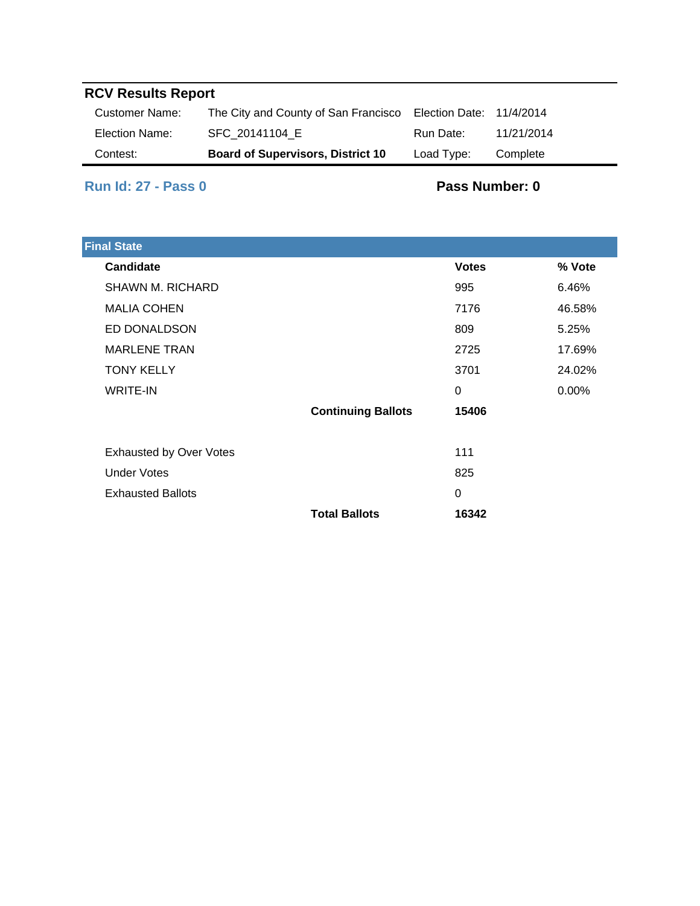# **RCV Results Report**

| Customer Name: | The City and County of San Francisco     | Election Date: 11/4/2014 |            |
|----------------|------------------------------------------|--------------------------|------------|
| Election Name: | SFC 20141104 E                           | Run Date:                | 11/21/2014 |
| Contest:       | <b>Board of Supervisors, District 10</b> | Load Type:               | Complete   |

### **Run Id: 27 - Pass 0**

#### **Pass Number: 0**

| <b>Final State</b>             |                           |              |          |
|--------------------------------|---------------------------|--------------|----------|
| Candidate                      |                           | <b>Votes</b> | % Vote   |
| <b>SHAWN M. RICHARD</b>        |                           | 995          | 6.46%    |
| <b>MALIA COHEN</b>             |                           | 7176         | 46.58%   |
| ED DONALDSON                   |                           | 809          | 5.25%    |
| <b>MARLENE TRAN</b>            |                           | 2725         | 17.69%   |
| <b>TONY KELLY</b>              |                           | 3701         | 24.02%   |
| <b>WRITE-IN</b>                |                           | 0            | $0.00\%$ |
|                                | <b>Continuing Ballots</b> | 15406        |          |
|                                |                           |              |          |
| <b>Exhausted by Over Votes</b> |                           | 111          |          |
| <b>Under Votes</b>             |                           | 825          |          |
| <b>Exhausted Ballots</b>       |                           | 0            |          |
|                                | <b>Total Ballots</b>      | 16342        |          |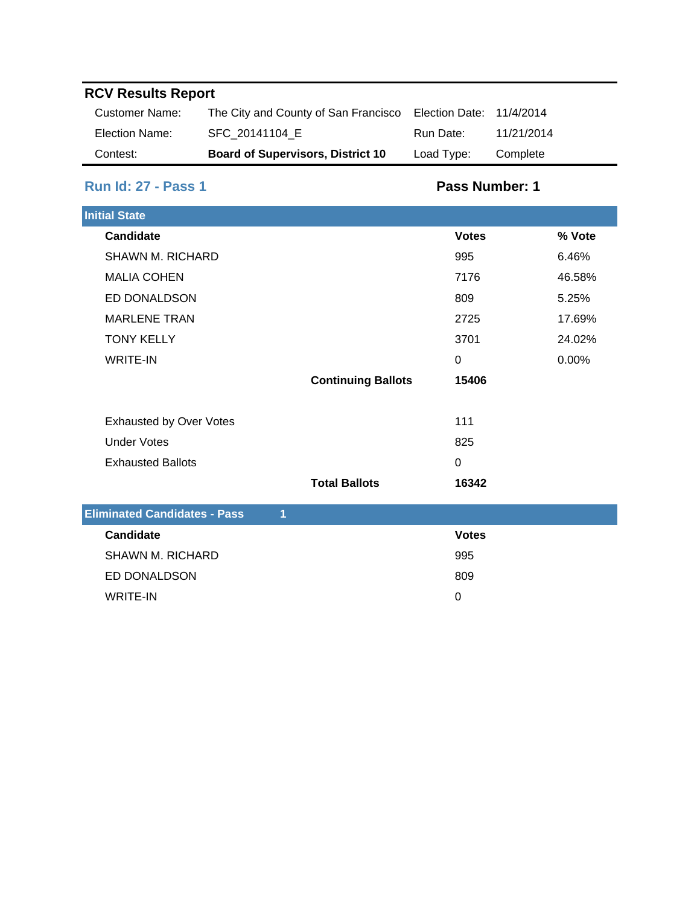# **RCV Results Report**

| Customer Name: | The City and County of San Francisco     | Election Date: 11/4/2014 |            |
|----------------|------------------------------------------|--------------------------|------------|
| Election Name: | SFC 20141104 E                           | Run Date:                | 11/21/2014 |
| Contest:       | <b>Board of Supervisors, District 10</b> | Load Type:               | Complete   |

### **Run Id: 27 - Pass 1**

### **Pass Number: 1**

| <b>Initial State</b>                |                           |                |        |
|-------------------------------------|---------------------------|----------------|--------|
| <b>Candidate</b>                    |                           | <b>Votes</b>   | % Vote |
| <b>SHAWN M. RICHARD</b>             |                           | 995            | 6.46%  |
| <b>MALIA COHEN</b>                  |                           | 7176           | 46.58% |
| ED DONALDSON                        |                           | 809            | 5.25%  |
| <b>MARLENE TRAN</b>                 |                           | 2725           | 17.69% |
| <b>TONY KELLY</b>                   |                           | 3701           | 24.02% |
| <b>WRITE-IN</b>                     |                           | $\overline{0}$ | 0.00%  |
|                                     | <b>Continuing Ballots</b> | 15406          |        |
|                                     |                           |                |        |
| <b>Exhausted by Over Votes</b>      |                           | 111            |        |
| <b>Under Votes</b>                  |                           | 825            |        |
| <b>Exhausted Ballots</b>            |                           | $\mathbf 0$    |        |
|                                     | <b>Total Ballots</b>      | 16342          |        |
| <b>Eliminated Candidates - Pass</b> | 1                         |                |        |
| <b>Candidate</b>                    |                           | <b>Votes</b>   |        |
| <b>SHAWN M. RICHARD</b>             |                           | 995            |        |
| ED DONALDSON                        |                           | 809            |        |
| <b>WRITE-IN</b>                     |                           | 0              |        |